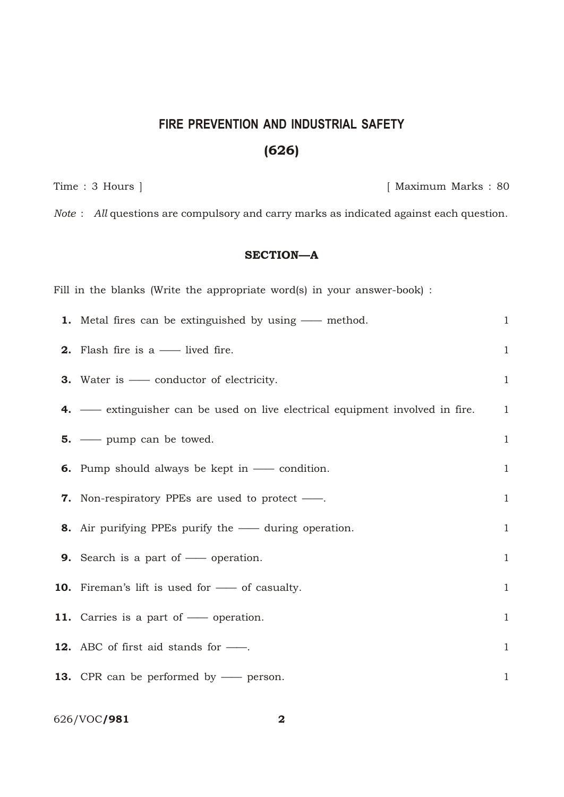# **FIRE PREVENTION AND INDUSTRIAL SAFETY** (626)

Time : 3 Hours ] [ Maximum Marks : 80

*Note* : *All* questions are compulsory and carry marks as indicated against each question.

## SECTION—A

| Fill in the blanks (Write the appropriate word(s) in your answer-book) :     |              |
|------------------------------------------------------------------------------|--------------|
| <b>1.</b> Metal fires can be extinguished by using — method.                 | $\mathbf{1}$ |
| <b>2.</b> Flash fire is a $\_\_\_\$ lived fire.                              | $\mathbf{1}$ |
| <b>3.</b> Water is — conductor of electricity.                               | $\mathbf{1}$ |
| 4. — extinguisher can be used on live electrical equipment involved in fire. | $\mathbf{1}$ |
| $5.$ — pump can be towed.                                                    | $\mathbf{1}$ |
| <b>6.</b> Pump should always be kept in $\_\_\_\$ condition.                 | $\mathbf{1}$ |
| <b>7.</b> Non-respiratory PPEs are used to protect —                         | $\mathbf{1}$ |
| 8. Air purifying PPEs purify the — during operation.                         | $\mathbf{1}$ |
| <b>9.</b> Search is a part of — operation.                                   | $\mathbf{1}$ |
| <b>10.</b> Fireman's lift is used for — of casualty.                         | $\mathbf{1}$ |
| 11. Carries is a part of - operation.                                        | $\mathbf{1}$ |
| 12. ABC of first aid stands for -                                            | $\mathbf{1}$ |
| <b>13.</b> CPR can be performed by — person.                                 | $\mathbf{1}$ |

### 626/VOC**/981** 2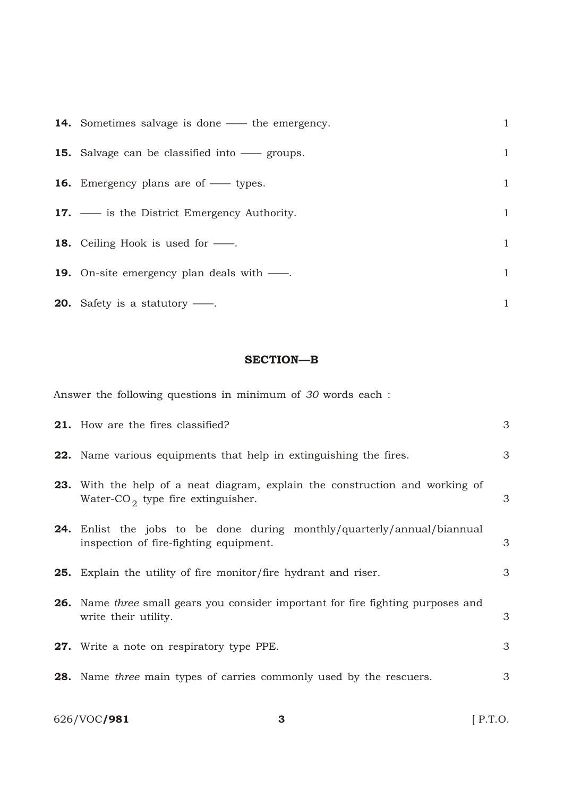| <b>14.</b> Sometimes salvage is done — the emergency. | $\mathbf{1}$ |
|-------------------------------------------------------|--------------|
| <b>15.</b> Salvage can be classified into — groups.   | 1            |
| <b>16.</b> Emergency plans are of — types.            | 1            |
| <b>17.</b> — is the District Emergency Authority.     | $\mathbf{1}$ |
| <b>18.</b> Ceiling Hook is used for —.                | 1            |
| <b>19.</b> On-site emergency plan deals with —.       | 1            |
| <b>20.</b> Safety is a statutory $\frac{1}{1}$ .      | 1            |

#### SECTION-B

Answer the following questions in minimum of 30 words each :

| <b>21.</b> How are the fires classified?                                                                                             | 3 |
|--------------------------------------------------------------------------------------------------------------------------------------|---|
| <b>22.</b> Name various equipments that help in extinguishing the fires.                                                             | 3 |
| <b>23.</b> With the help of a neat diagram, explain the construction and working of<br>Water-CO <sub>2</sub> type fire extinguisher. | 3 |
| <b>24.</b> Enlist the jobs to be done during monthly/quarterly/annual/biannual<br>inspection of fire-fighting equipment.             | 3 |
| <b>25.</b> Explain the utility of fire monitor/fire hydrant and riser.                                                               | 3 |
| <b>26.</b> Name <i>three</i> small gears you consider important for fire fighting purposes and<br>write their utility.               | 3 |
| 27. Write a note on respiratory type PPE.                                                                                            | 3 |
| <b>28.</b> Name three main types of carries commonly used by the rescuers.                                                           | 3 |
|                                                                                                                                      |   |

626/VOC**/981** 3 [ P.T.O.